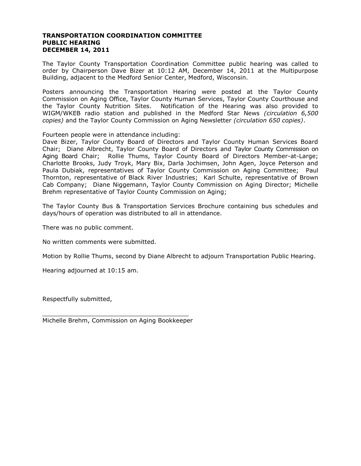## **TRANSPORTATION COORDINATION COMMITTEE PUBLIC HEARING DECEMBER 14, 2011**

The Taylor County Transportation Coordination Committee public hearing was called to order by Chairperson Dave Bizer at 10:12 AM, December 14, 2011 at the Multipurpose Building, adjacent to the Medford Senior Center, Medford, Wisconsin.

Posters announcing the Transportation Hearing were posted at the Taylor County Commission on Aging Office, Taylor County Human Services, Taylor County Courthouse and the Taylor County Nutrition Sites. Notification of the Hearing was also provided to WIGM/WKEB radio station and published in the Medford Star News *(circulation 6,500 copies)* and the Taylor County Commission on Aging Newsletter *(circulation 650 copies)*.

Fourteen people were in attendance including:

Dave Bizer, Taylor County Board of Directors and Taylor County Human Services Board Chair; Diane Albrecht, Taylor County Board of Directors and Taylor County Commission on Aging Board Chair; Rollie Thums, Taylor County Board of Directors Member-at-Large; Charlotte Brooks, Judy Troyk, Mary Bix, Darla Jochimsen, John Agen, Joyce Peterson and Paula Dubiak, representatives of Taylor County Commission on Aging Committee; Paul Thornton, representative of Black River Industries; Karl Schulte, representative of Brown Cab Company; Diane Niggemann, Taylor County Commission on Aging Director; Michelle Brehm representative of Taylor County Commission on Aging;

The Taylor County Bus & Transportation Services Brochure containing bus schedules and days/hours of operation was distributed to all in attendance.

There was no public comment.

No written comments were submitted.

Motion by Rollie Thums, second by Diane Albrecht to adjourn Transportation Public Hearing.

Hearing adjourned at 10:15 am.

Respectfully submitted,

\_\_\_\_\_\_\_\_\_\_\_\_\_\_\_\_\_\_\_\_\_\_\_\_\_\_\_\_\_\_\_\_\_\_\_\_\_\_\_ Michelle Brehm, Commission on Aging Bookkeeper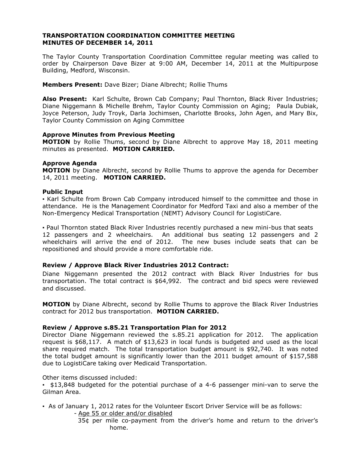## **TRANSPORTATION COORDINATION COMMITTEE MEETING MINUTES OF DECEMBER 14, 2011**

The Taylor County Transportation Coordination Committee regular meeting was called to order by Chairperson Dave Bizer at 9:00 AM, December 14, 2011 at the Multipurpose Building, Medford, Wisconsin.

**Members Present:** Dave Bizer; Diane Albrecht; Rollie Thums

**Also Present:** Karl Schulte, Brown Cab Company; Paul Thornton, Black River Industries; Diane Niggemann & Michelle Brehm, Taylor County Commission on Aging; Paula Dubiak, Joyce Peterson, Judy Troyk, Darla Jochimsen, Charlotte Brooks, John Agen, and Mary Bix, Taylor County Commission on Aging Committee

## **Approve Minutes from Previous Meeting**

**MOTION** by Rollie Thums, second by Diane Albrecht to approve May 18, 2011 meeting minutes as presented. **MOTION CARRIED.**

## **Approve Agenda**

**MOTION** by Diane Albrecht, second by Rollie Thums to approve the agenda for December 14, 2011 meeting. **MOTION CARRIED.**

## **Public Input**

▪ Karl Schulte from Brown Cab Company introduced himself to the committee and those in attendance. He is the Management Coordinator for Medford Taxi and also a member of the Non-Emergency Medical Transportation (NEMT) Advisory Council for LogistiCare.

▪ Paul Thornton stated Black River Industries recently purchased a new mini-bus that seats 12 passengers and 2 wheelchairs. An additional bus seating 12 passengers and 2 wheelchairs will arrive the end of 2012. The new buses include seats that can be repositioned and should provide a more comfortable ride.

## **Review / Approve Black River Industries 2012 Contract:**

Diane Niggemann presented the 2012 contract with Black River Industries for bus transportation. The total contract is \$64,992. The contract and bid specs were reviewed and discussed.

**MOTION** by Diane Albrecht, second by Rollie Thums to approve the Black River Industries contract for 2012 bus transportation. **MOTION CARRIED.**

#### **Review / Approve s.85.21 Transportation Plan for 2012**

Director Diane Niggemann reviewed the s.85.21 application for 2012. The application request is \$68,117. A match of \$13,623 in local funds is budgeted and used as the local share required match. The total transportation budget amount is \$92,740. It was noted the total budget amount is significantly lower than the 2011 budget amount of \$157,588 due to LogistiCare taking over Medicaid Transportation.

Other items discussed included:

▪ \$13,848 budgeted for the potential purchase of a 4-6 passenger mini-van to serve the Gilman Area.

▪ As of January 1, 2012 rates for the Volunteer Escort Driver Service will be as follows:

- Age 55 or older and/or disabled

35¢ per mile co-payment from the driver's home and return to the driver's home.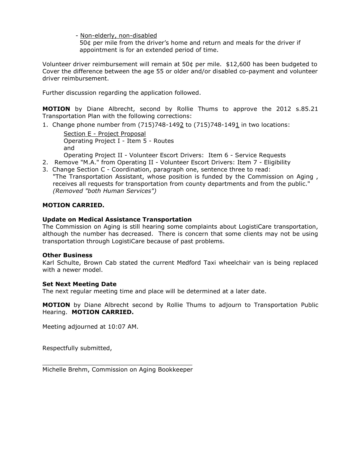- Non-elderly, non-disabled

 50¢ per mile from the driver's home and return and meals for the driver if appointment is for an extended period of time.

Volunteer driver reimbursement will remain at 50¢ per mile. \$12,600 has been budgeted to Cover the difference between the age 55 or older and/or disabled co-payment and volunteer driver reimbursement.

Further discussion regarding the application followed.

**MOTION** by Diane Albrecht, second by Rollie Thums to approve the 2012 s.85.21 Transportation Plan with the following corrections:

1. Change phone number from (715)748-1492 to (715)748-1491 in two locations:

Section E - Project Proposal Operating Project I - Item 5 - Routes and

Operating Project II - Volunteer Escort Drivers: Item 6 - Service Requests

- 2. Remove "M.A." from Operating II Volunteer Escort Drivers: Item 7 Eligibility
- 3. Change Section C Coordination, paragraph one, sentence three to read: "The Transportation Assistant, whose position is funded by the Commission on Aging , receives all requests for transportation from county departments and from the public." *(Removed "both Human Services")*

# **MOTION CARRIED.**

## **Update on Medical Assistance Transportation**

The Commission on Aging is still hearing some complaints about LogistiCare transportation, although the number has decreased. There is concern that some clients may not be using transportation through LogistiCare because of past problems.

## **Other Business**

Karl Schulte, Brown Cab stated the current Medford Taxi wheelchair van is being replaced with a newer model.

#### **Set Next Meeting Date**

The next regular meeting time and place will be determined at a later date.

**MOTION** by Diane Albrecht second by Rollie Thums to adjourn to Transportation Public Hearing. **MOTION CARRIED.**

Meeting adjourned at 10:07 AM.

Respectfully submitted,

\_\_\_\_\_\_\_\_\_\_\_\_\_\_\_\_\_\_\_\_\_\_\_\_\_\_\_\_\_\_\_\_\_\_\_\_\_\_\_\_ Michelle Brehm, Commission on Aging Bookkeeper